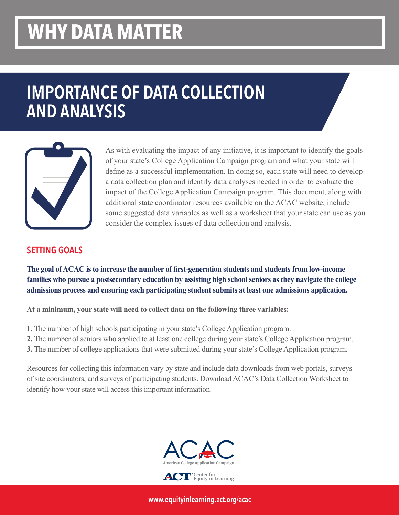## **WHY DATA MATTER**

## IMPORTANCE OF DATA COLLECTION AND ANALYSIS



As with evaluating the impact of any initiative, it is important to identify the goals of your state's College Application Campaign program and what your state will define as a successful implementation. In doing so, each state will need to develop a data collection plan and identify data analyses needed in order to evaluate the impact of the College Application Campaign program. This document, along with additional state coordinator resources available on the ACAC website, include some suggested data variables as well as a worksheet that your state can use as you consider the complex issues of data collection and analysis.

## SETTING GOALS

**The goal of ACAC is to increase the number of first-generation students and students from low-income families who pursue a postsecondary education by assisting high school seniors as they navigate the college admissions process and ensuring each participating student submits at least one admissions application.**

**At a minimum, your state will need to collect data on the following three variables:**

- **1.** The number of high schools participating in your state's College Application program.
- **2.** The number of seniors who applied to at least one college during your state's College Application program.
- **3.** The number of college applications that were submitted during your state's College Application program.

Resources for collecting this information vary by state and include data downloads from web portals, surveys of site coordinators, and surveys of participating students. Download ACAC's Data Collection Worksheet to identify how your state will access this important information.



www.equityinlearning.act.org/acac